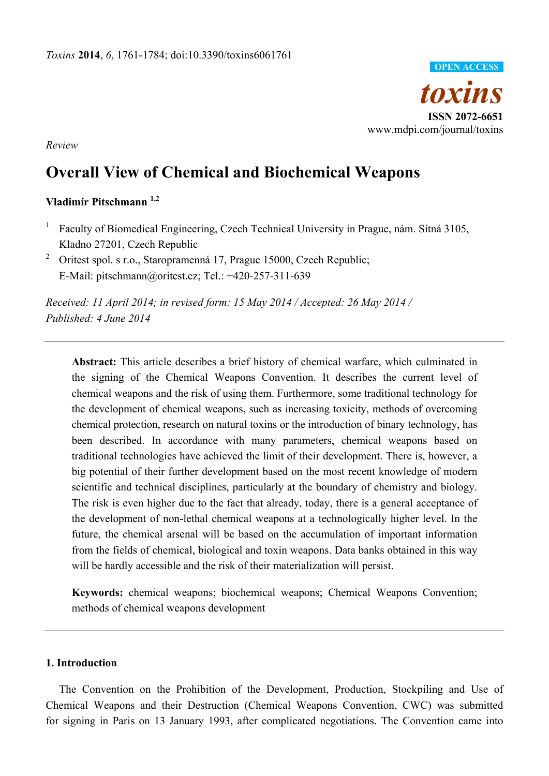

*Review* 

# **Overall View of Chemical and Biochemical Weapons**

# **Vladimír Pitschmann 1,2**

- 1 Faculty of Biomedical Engineering, Czech Technical University in Prague, nám. Sítná 3105, Kladno 27201, Czech Republic
- 2 Oritest spol. s r.o., Staropramenná 17, Prague 15000, Czech Republic; E-Mail: pitschmann@oritest.cz; Tel.: +420-257-311-639

*Received: 11 April 2014; in revised form: 15 May 2014 / Accepted: 26 May 2014 / Published: 4 June 2014*

**Abstract:** This article describes a brief history of chemical warfare, which culminated in the signing of the Chemical Weapons Convention. It describes the current level of chemical weapons and the risk of using them. Furthermore, some traditional technology for the development of chemical weapons, such as increasing toxicity, methods of overcoming chemical protection, research on natural toxins or the introduction of binary technology, has been described. In accordance with many parameters, chemical weapons based on traditional technologies have achieved the limit of their development. There is, however, a big potential of their further development based on the most recent knowledge of modern scientific and technical disciplines, particularly at the boundary of chemistry and biology. The risk is even higher due to the fact that already, today, there is a general acceptance of the development of non-lethal chemical weapons at a technologically higher level. In the future, the chemical arsenal will be based on the accumulation of important information from the fields of chemical, biological and toxin weapons. Data banks obtained in this way will be hardly accessible and the risk of their materialization will persist.

**Keywords:** chemical weapons; biochemical weapons; Chemical Weapons Convention; methods of chemical weapons development

## **1. Introduction**

The Convention on the Prohibition of the Development, Production, Stockpiling and Use of Chemical Weapons and their Destruction (Chemical Weapons Convention, CWC) was submitted for signing in Paris on 13 January 1993, after complicated negotiations. The Convention came into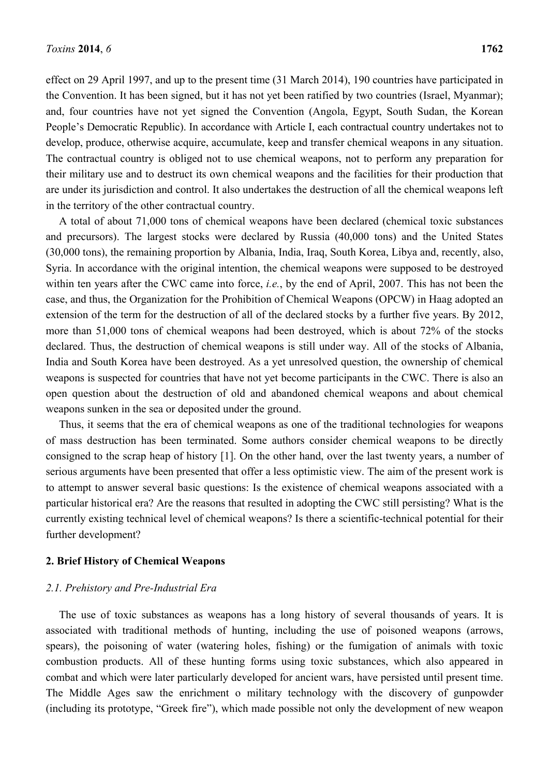effect on 29 April 1997, and up to the present time (31 March 2014), 190 countries have participated in the Convention. It has been signed, but it has not yet been ratified by two countries (Israel, Myanmar); and, four countries have not yet signed the Convention (Angola, Egypt, South Sudan, the Korean People's Democratic Republic). In accordance with Article I, each contractual country undertakes not to develop, produce, otherwise acquire, accumulate, keep and transfer chemical weapons in any situation. The contractual country is obliged not to use chemical weapons, not to perform any preparation for their military use and to destruct its own chemical weapons and the facilities for their production that are under its jurisdiction and control. It also undertakes the destruction of all the chemical weapons left in the territory of the other contractual country.

A total of about 71,000 tons of chemical weapons have been declared (chemical toxic substances and precursors). The largest stocks were declared by Russia (40,000 tons) and the United States (30,000 tons), the remaining proportion by Albania, India, Iraq, South Korea, Libya and, recently, also, Syria. In accordance with the original intention, the chemical weapons were supposed to be destroyed within ten years after the CWC came into force, *i.e.*, by the end of April, 2007. This has not been the case, and thus, the Organization for the Prohibition of Chemical Weapons (OPCW) in Haag adopted an extension of the term for the destruction of all of the declared stocks by a further five years. By 2012, more than 51,000 tons of chemical weapons had been destroyed, which is about 72% of the stocks declared. Thus, the destruction of chemical weapons is still under way. All of the stocks of Albania, India and South Korea have been destroyed. As a yet unresolved question, the ownership of chemical weapons is suspected for countries that have not yet become participants in the CWC. There is also an open question about the destruction of old and abandoned chemical weapons and about chemical weapons sunken in the sea or deposited under the ground.

Thus, it seems that the era of chemical weapons as one of the traditional technologies for weapons of mass destruction has been terminated. Some authors consider chemical weapons to be directly consigned to the scrap heap of history [1]. On the other hand, over the last twenty years, a number of serious arguments have been presented that offer a less optimistic view. The aim of the present work is to attempt to answer several basic questions: Is the existence of chemical weapons associated with a particular historical era? Are the reasons that resulted in adopting the CWC still persisting? What is the currently existing technical level of chemical weapons? Is there a scientific-technical potential for their further development?

#### **2. Brief History of Chemical Weapons**

#### *2.1. Prehistory and Pre-Industrial Era*

The use of toxic substances as weapons has a long history of several thousands of years. It is associated with traditional methods of hunting, including the use of poisoned weapons (arrows, spears), the poisoning of water (watering holes, fishing) or the fumigation of animals with toxic combustion products. All of these hunting forms using toxic substances, which also appeared in combat and which were later particularly developed for ancient wars, have persisted until present time. The Middle Ages saw the enrichment o military technology with the discovery of gunpowder (including its prototype, "Greek fire"), which made possible not only the development of new weapon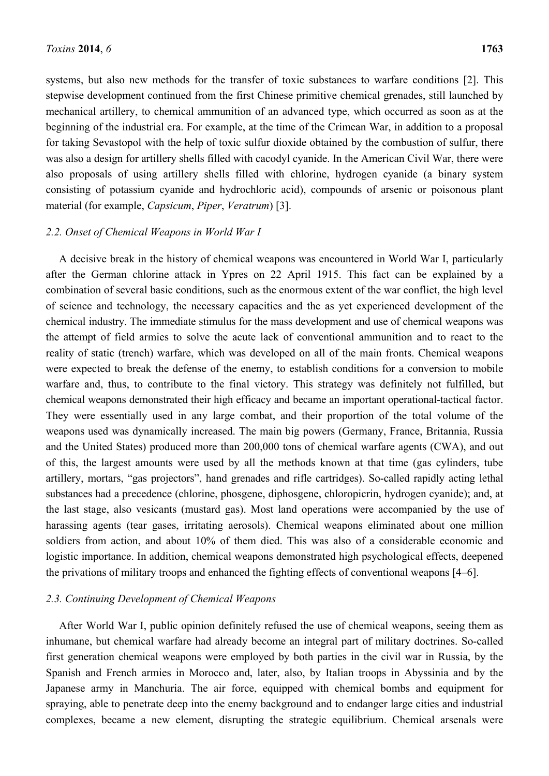systems, but also new methods for the transfer of toxic substances to warfare conditions [2]. This stepwise development continued from the first Chinese primitive chemical grenades, still launched by mechanical artillery, to chemical ammunition of an advanced type, which occurred as soon as at the beginning of the industrial era. For example, at the time of the Crimean War, in addition to a proposal for taking Sevastopol with the help of toxic sulfur dioxide obtained by the combustion of sulfur, there was also a design for artillery shells filled with cacodyl cyanide. In the American Civil War, there were also proposals of using artillery shells filled with chlorine, hydrogen cyanide (a binary system consisting of potassium cyanide and hydrochloric acid), compounds of arsenic or poisonous plant material (for example, *Capsicum*, *Piper*, *Veratrum*) [3].

#### *2.2. Onset of Chemical Weapons in World War I*

A decisive break in the history of chemical weapons was encountered in World War I, particularly after the German chlorine attack in Ypres on 22 April 1915. This fact can be explained by a combination of several basic conditions, such as the enormous extent of the war conflict, the high level of science and technology, the necessary capacities and the as yet experienced development of the chemical industry. The immediate stimulus for the mass development and use of chemical weapons was the attempt of field armies to solve the acute lack of conventional ammunition and to react to the reality of static (trench) warfare, which was developed on all of the main fronts. Chemical weapons were expected to break the defense of the enemy, to establish conditions for a conversion to mobile warfare and, thus, to contribute to the final victory. This strategy was definitely not fulfilled, but chemical weapons demonstrated their high efficacy and became an important operational-tactical factor. They were essentially used in any large combat, and their proportion of the total volume of the weapons used was dynamically increased. The main big powers (Germany, France, Britannia, Russia and the United States) produced more than 200,000 tons of chemical warfare agents (CWA), and out of this, the largest amounts were used by all the methods known at that time (gas cylinders, tube artillery, mortars, "gas projectors", hand grenades and rifle cartridges). So-called rapidly acting lethal substances had a precedence (chlorine, phosgene, diphosgene, chloropicrin, hydrogen cyanide); and, at the last stage, also vesicants (mustard gas). Most land operations were accompanied by the use of harassing agents (tear gases, irritating aerosols). Chemical weapons eliminated about one million soldiers from action, and about 10% of them died. This was also of a considerable economic and logistic importance. In addition, chemical weapons demonstrated high psychological effects, deepened the privations of military troops and enhanced the fighting effects of conventional weapons [4–6].

#### *2.3. Continuing Development of Chemical Weapons*

After World War I, public opinion definitely refused the use of chemical weapons, seeing them as inhumane, but chemical warfare had already become an integral part of military doctrines. So-called first generation chemical weapons were employed by both parties in the civil war in Russia, by the Spanish and French armies in Morocco and, later, also, by Italian troops in Abyssinia and by the Japanese army in Manchuria. The air force, equipped with chemical bombs and equipment for spraying, able to penetrate deep into the enemy background and to endanger large cities and industrial complexes, became a new element, disrupting the strategic equilibrium. Chemical arsenals were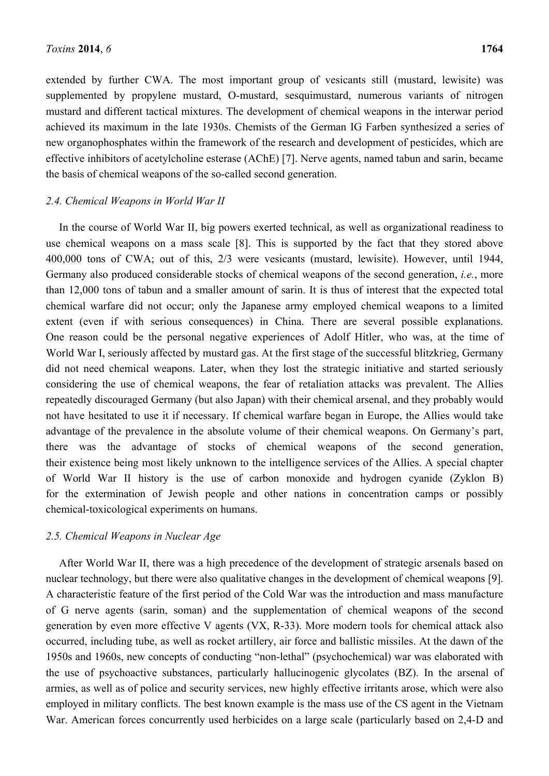extended by further CWA. The most important group of vesicants still (mustard, lewisite) was supplemented by propylene mustard, O-mustard, sesquimustard, numerous variants of nitrogen mustard and different tactical mixtures. The development of chemical weapons in the interwar period achieved its maximum in the late 1930s. Chemists of the German IG Farben synthesized a series of new organophosphates within the framework of the research and development of pesticides, which are effective inhibitors of acetylcholine esterase (AChE) [7]. Nerve agents, named tabun and sarin, became the basis of chemical weapons of the so-called second generation.

#### *2.4. Chemical Weapons in World War II*

In the course of World War II, big powers exerted technical, as well as organizational readiness to use chemical weapons on a mass scale [8]. This is supported by the fact that they stored above 400,000 tons of CWA; out of this, 2/3 were vesicants (mustard, lewisite). However, until 1944, Germany also produced considerable stocks of chemical weapons of the second generation, *i.e.*, more than 12,000 tons of tabun and a smaller amount of sarin. It is thus of interest that the expected total chemical warfare did not occur; only the Japanese army employed chemical weapons to a limited extent (even if with serious consequences) in China. There are several possible explanations. One reason could be the personal negative experiences of Adolf Hitler, who was, at the time of World War I, seriously affected by mustard gas. At the first stage of the successful blitzkrieg, Germany did not need chemical weapons. Later, when they lost the strategic initiative and started seriously considering the use of chemical weapons, the fear of retaliation attacks was prevalent. The Allies repeatedly discouraged Germany (but also Japan) with their chemical arsenal, and they probably would not have hesitated to use it if necessary. If chemical warfare began in Europe, the Allies would take advantage of the prevalence in the absolute volume of their chemical weapons. On Germany's part, there was the advantage of stocks of chemical weapons of the second generation, their existence being most likely unknown to the intelligence services of the Allies. A special chapter of World War II history is the use of carbon monoxide and hydrogen cyanide (Zyklon B) for the extermination of Jewish people and other nations in concentration camps or possibly chemical-toxicological experiments on humans.

#### *2.5. Chemical Weapons in Nuclear Age*

After World War II, there was a high precedence of the development of strategic arsenals based on nuclear technology, but there were also qualitative changes in the development of chemical weapons [9]. A characteristic feature of the first period of the Cold War was the introduction and mass manufacture of G nerve agents (sarin, soman) and the supplementation of chemical weapons of the second generation by even more effective V agents (VX, R-33). More modern tools for chemical attack also occurred, including tube, as well as rocket artillery, air force and ballistic missiles. At the dawn of the 1950s and 1960s, new concepts of conducting "non-lethal" (psychochemical) war was elaborated with the use of psychoactive substances, particularly hallucinogenic glycolates (BZ). In the arsenal of armies, as well as of police and security services, new highly effective irritants arose, which were also employed in military conflicts. The best known example is the mass use of the CS agent in the Vietnam War. American forces concurrently used herbicides on a large scale (particularly based on 2,4-D and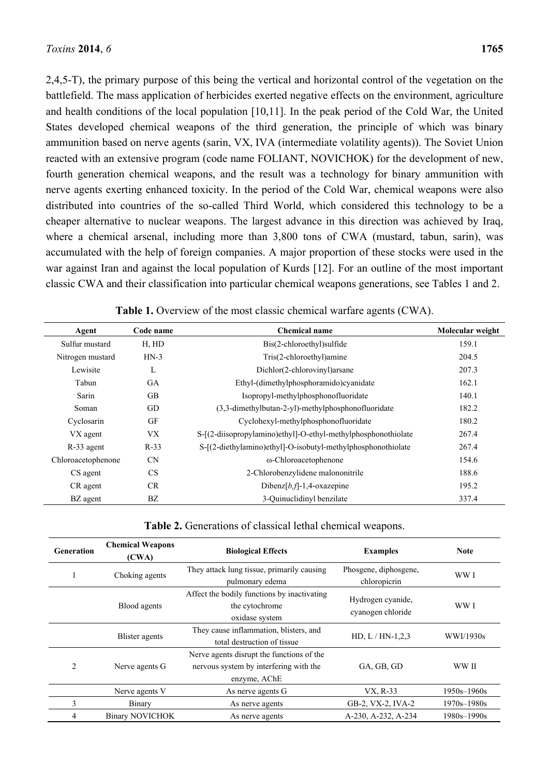2,4,5-T), the primary purpose of this being the vertical and horizontal control of the vegetation on the battlefield. The mass application of herbicides exerted negative effects on the environment, agriculture and health conditions of the local population [10,11]. In the peak period of the Cold War, the United States developed chemical weapons of the third generation, the principle of which was binary ammunition based on nerve agents (sarin, VX, IVA (intermediate volatility agents)). The Soviet Union reacted with an extensive program (code name FOLIANT, NOVICHOK) for the development of new, fourth generation chemical weapons, and the result was a technology for binary ammunition with nerve agents exerting enhanced toxicity. In the period of the Cold War, chemical weapons were also distributed into countries of the so-called Third World, which considered this technology to be a cheaper alternative to nuclear weapons. The largest advance in this direction was achieved by Iraq, where a chemical arsenal, including more than 3,800 tons of CWA (mustard, tabun, sarin), was accumulated with the help of foreign companies. A major proportion of these stocks were used in the war against Iran and against the local population of Kurds [12]. For an outline of the most important classic CWA and their classification into particular chemical weapons generations, see Tables 1 and 2.

| Agent              | Code name | <b>Chemical name</b>                                          | Molecular weight |
|--------------------|-----------|---------------------------------------------------------------|------------------|
| Sulfur mustard     | H, HD     | Bis(2-chloroethyl) sulfide                                    | 159.1            |
| Nitrogen mustard   | $HN-3$    | Tris(2-chloroethyl)amine                                      | 204.5            |
| Lewisite           | L         | Dichlor(2-chlorovinyl)arsane                                  | 207.3            |
| Tabun              | <b>GA</b> | Ethyl-(dimethylphosphoramido) cyanidate                       | 162.1            |
| Sarin              | <b>GB</b> | Isopropyl-methylphosphonofluoridate                           | 140.1            |
| Soman              | GD        | $(3,3$ -dimethylbutan-2-yl)-methylphosphonofluoridate         | 182.2            |
| Cyclosarin         | GF        | Cyclohexyl-methylphosphonofluoridate                          | 180.2            |
| VX agent           | VX.       | S-[(2-diisopropylamino)ethyl]-O-ethyl-methylphosphonothiolate | 267.4            |
| R-33 agent         | $R-33$    | S-[(2-diethylamino)ethyl]-O-isobutyl-methylphosphonothiolate  | 267.4            |
| Chloroacetophenone | <b>CN</b> | ω-Chloroacetophenone                                          | 154.6            |
| CS agent           | <b>CS</b> | 2-Chlorobenzylidene malononitrile                             | 188.6            |
| CR agent           | CR        | Dibenz $[b, f]$ -1,4-oxazepine                                | 195.2            |
| BZ agent           | BZ        | 3-Ouinuclidinyl benzilate                                     | 337.4            |

|  |  |  |  |  | Table 1. Overview of the most classic chemical warfare agents (CWA). |  |
|--|--|--|--|--|----------------------------------------------------------------------|--|
|--|--|--|--|--|----------------------------------------------------------------------|--|

|  | Table 2. Generations of classical lethal chemical weapons. |  |  |  |  |  |
|--|------------------------------------------------------------|--|--|--|--|--|
|--|------------------------------------------------------------|--|--|--|--|--|

| <b>Generation</b> | <b>Chemical Weapons</b><br>(CWA) | <b>Biological Effects</b>                                                                           | <b>Examples</b>                        |             |
|-------------------|----------------------------------|-----------------------------------------------------------------------------------------------------|----------------------------------------|-------------|
|                   | Choking agents                   | They attack lung tissue, primarily causing<br>pulmonary edema                                       | Phosgene, diphosgene,<br>chloropicrin  | WW I        |
|                   | Blood agents                     | Affect the bodily functions by inactivating<br>the cytochrome<br>oxidase system                     | Hydrogen cyanide,<br>cyanogen chloride | WW I        |
|                   | Blister agents                   | They cause inflammation, blisters, and<br>total destruction of tissue                               | $HD, L/HN-1, 2, 3$                     | WWI/1930s   |
| $\overline{2}$    | Nerve agents G                   | Nerve agents disrupt the functions of the<br>nervous system by interfering with the<br>enzyme, AChE | GA, GB, GD                             | WW II       |
|                   | Nerve agents V                   | As nerve agents G                                                                                   | VX, R-33                               | 1950s-1960s |
| 3                 | Binary                           | As nerve agents                                                                                     | GB-2, VX-2, IVA-2                      | 1970s-1980s |
| 4                 | <b>Binary NOVICHOK</b>           | As nerve agents                                                                                     | A-230, A-232, A-234                    | 1980s-1990s |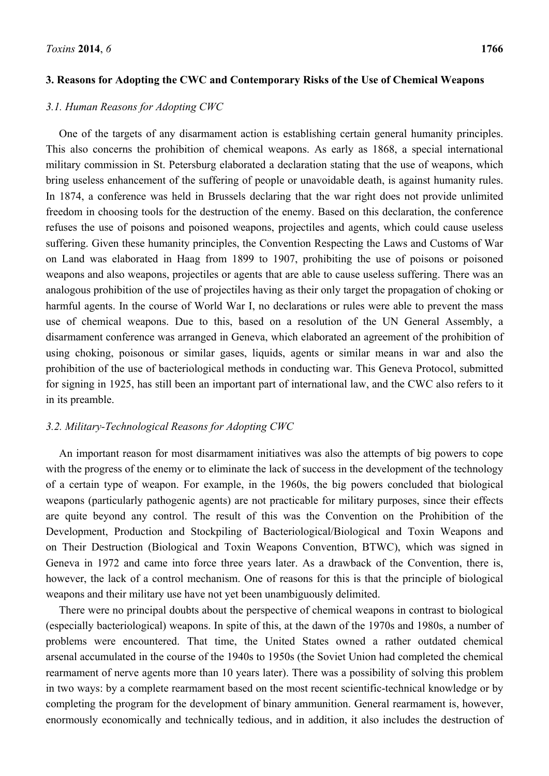## **3. Reasons for Adopting the CWC and Contemporary Risks of the Use of Chemical Weapons**

## *3.1. Human Reasons for Adopting CWC*

One of the targets of any disarmament action is establishing certain general humanity principles. This also concerns the prohibition of chemical weapons. As early as 1868, a special international military commission in St. Petersburg elaborated a declaration stating that the use of weapons, which bring useless enhancement of the suffering of people or unavoidable death, is against humanity rules. In 1874, a conference was held in Brussels declaring that the war right does not provide unlimited freedom in choosing tools for the destruction of the enemy. Based on this declaration, the conference refuses the use of poisons and poisoned weapons, projectiles and agents, which could cause useless suffering. Given these humanity principles, the Convention Respecting the Laws and Customs of War on Land was elaborated in Haag from 1899 to 1907, prohibiting the use of poisons or poisoned weapons and also weapons, projectiles or agents that are able to cause useless suffering. There was an analogous prohibition of the use of projectiles having as their only target the propagation of choking or harmful agents. In the course of World War I, no declarations or rules were able to prevent the mass use of chemical weapons. Due to this, based on a resolution of the UN General Assembly, a disarmament conference was arranged in Geneva, which elaborated an agreement of the prohibition of using choking, poisonous or similar gases, liquids, agents or similar means in war and also the prohibition of the use of bacteriological methods in conducting war. This Geneva Protocol, submitted for signing in 1925, has still been an important part of international law, and the CWC also refers to it in its preamble.

#### *3.2. Military-Technological Reasons for Adopting CWC*

An important reason for most disarmament initiatives was also the attempts of big powers to cope with the progress of the enemy or to eliminate the lack of success in the development of the technology of a certain type of weapon. For example, in the 1960s, the big powers concluded that biological weapons (particularly pathogenic agents) are not practicable for military purposes, since their effects are quite beyond any control. The result of this was the Convention on the Prohibition of the Development, Production and Stockpiling of Bacteriological/Biological and Toxin Weapons and on Their Destruction (Biological and Toxin Weapons Convention, BTWC), which was signed in Geneva in 1972 and came into force three years later. As a drawback of the Convention, there is, however, the lack of a control mechanism. One of reasons for this is that the principle of biological weapons and their military use have not yet been unambiguously delimited.

There were no principal doubts about the perspective of chemical weapons in contrast to biological (especially bacteriological) weapons. In spite of this, at the dawn of the 1970s and 1980s, a number of problems were encountered. That time, the United States owned a rather outdated chemical arsenal accumulated in the course of the 1940s to 1950s (the Soviet Union had completed the chemical rearmament of nerve agents more than 10 years later). There was a possibility of solving this problem in two ways: by a complete rearmament based on the most recent scientific-technical knowledge or by completing the program for the development of binary ammunition. General rearmament is, however, enormously economically and technically tedious, and in addition, it also includes the destruction of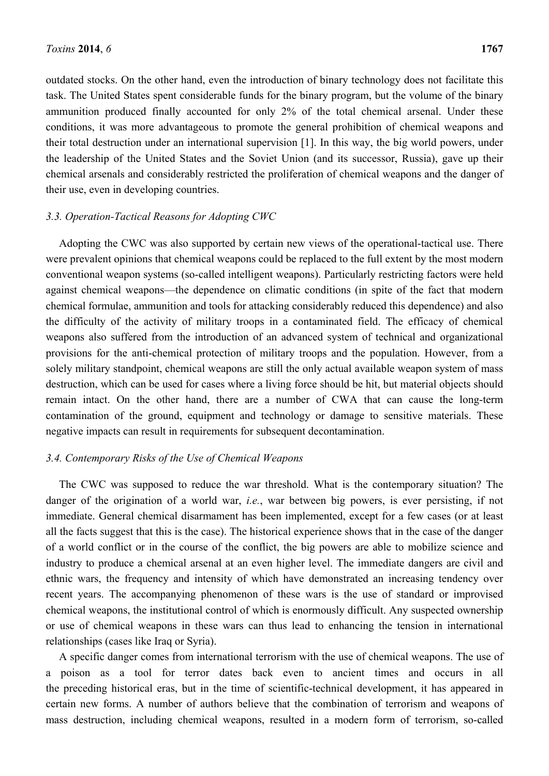outdated stocks. On the other hand, even the introduction of binary technology does not facilitate this task. The United States spent considerable funds for the binary program, but the volume of the binary ammunition produced finally accounted for only 2% of the total chemical arsenal. Under these conditions, it was more advantageous to promote the general prohibition of chemical weapons and their total destruction under an international supervision [1]. In this way, the big world powers, under the leadership of the United States and the Soviet Union (and its successor, Russia), gave up their chemical arsenals and considerably restricted the proliferation of chemical weapons and the danger of their use, even in developing countries.

#### *3.3. Operation-Tactical Reasons for Adopting CWC*

Adopting the CWC was also supported by certain new views of the operational-tactical use. There were prevalent opinions that chemical weapons could be replaced to the full extent by the most modern conventional weapon systems (so-called intelligent weapons). Particularly restricting factors were held against chemical weapons—the dependence on climatic conditions (in spite of the fact that modern chemical formulae, ammunition and tools for attacking considerably reduced this dependence) and also the difficulty of the activity of military troops in a contaminated field. The efficacy of chemical weapons also suffered from the introduction of an advanced system of technical and organizational provisions for the anti-chemical protection of military troops and the population. However, from a solely military standpoint, chemical weapons are still the only actual available weapon system of mass destruction, which can be used for cases where a living force should be hit, but material objects should remain intact. On the other hand, there are a number of CWA that can cause the long-term contamination of the ground, equipment and technology or damage to sensitive materials. These negative impacts can result in requirements for subsequent decontamination.

### *3.4. Contemporary Risks of the Use of Chemical Weapons*

The CWC was supposed to reduce the war threshold. What is the contemporary situation? The danger of the origination of a world war, *i.e.*, war between big powers, is ever persisting, if not immediate. General chemical disarmament has been implemented, except for a few cases (or at least all the facts suggest that this is the case). The historical experience shows that in the case of the danger of a world conflict or in the course of the conflict, the big powers are able to mobilize science and industry to produce a chemical arsenal at an even higher level. The immediate dangers are civil and ethnic wars, the frequency and intensity of which have demonstrated an increasing tendency over recent years. The accompanying phenomenon of these wars is the use of standard or improvised chemical weapons, the institutional control of which is enormously difficult. Any suspected ownership or use of chemical weapons in these wars can thus lead to enhancing the tension in international relationships (cases like Iraq or Syria).

A specific danger comes from international terrorism with the use of chemical weapons. The use of a poison as a tool for terror dates back even to ancient times and occurs in all the preceding historical eras, but in the time of scientific-technical development, it has appeared in certain new forms. A number of authors believe that the combination of terrorism and weapons of mass destruction, including chemical weapons, resulted in a modern form of terrorism, so-called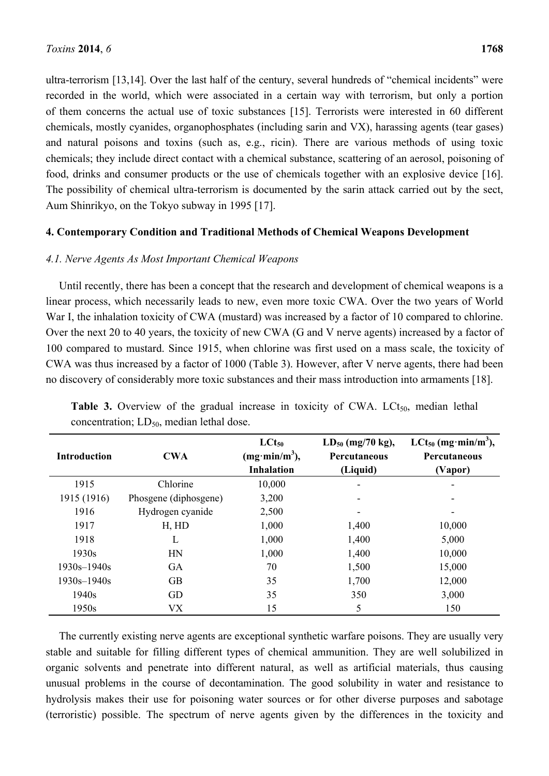ultra-terrorism [13,14]. Over the last half of the century, several hundreds of "chemical incidents" were recorded in the world, which were associated in a certain way with terrorism, but only a portion of them concerns the actual use of toxic substances [15]. Terrorists were interested in 60 different chemicals, mostly cyanides, organophosphates (including sarin and VX), harassing agents (tear gases) and natural poisons and toxins (such as, e.g., ricin). There are various methods of using toxic chemicals; they include direct contact with a chemical substance, scattering of an aerosol, poisoning of food, drinks and consumer products or the use of chemicals together with an explosive device [16]. The possibility of chemical ultra-terrorism is documented by the sarin attack carried out by the sect, Aum Shinrikyo, on the Tokyo subway in 1995 [17].

## **4. Contemporary Condition and Traditional Methods of Chemical Weapons Development**

## *4.1. Nerve Agents As Most Important Chemical Weapons*

Until recently, there has been a concept that the research and development of chemical weapons is a linear process, which necessarily leads to new, even more toxic CWA. Over the two years of World War I, the inhalation toxicity of CWA (mustard) was increased by a factor of 10 compared to chlorine. Over the next 20 to 40 years, the toxicity of new CWA (G and V nerve agents) increased by a factor of 100 compared to mustard. Since 1915, when chlorine was first used on a mass scale, the toxicity of CWA was thus increased by a factor of 1000 (Table 3). However, after V nerve agents, there had been no discovery of considerably more toxic substances and their mass introduction into armaments [18].

| <b>Introduction</b> | <b>CWA</b>            | $LCt_{50}$<br>$(mg·min/m3)$ ,<br><b>Inhalation</b> | $LD_{50}$ (mg/70 kg),<br><b>Percutaneous</b><br>(Liquid) | LCt <sub>50</sub> (mg·min/m <sup>3</sup> ),<br><b>Percutaneous</b><br>(Vapor) |
|---------------------|-----------------------|----------------------------------------------------|----------------------------------------------------------|-------------------------------------------------------------------------------|
| 1915                | Chlorine              | 10,000                                             | ۰                                                        | -                                                                             |
| 1915 (1916)         | Phosgene (diphosgene) | 3,200                                              |                                                          |                                                                               |
| 1916                | Hydrogen cyanide      | 2,500                                              |                                                          |                                                                               |
| 1917                | H, HD                 | 1,000                                              | 1,400                                                    | 10,000                                                                        |
| 1918                | L                     | 1,000                                              | 1,400                                                    | 5,000                                                                         |
| 1930s               | HN                    | 1,000                                              | 1,400                                                    | 10,000                                                                        |
| $1930s - 1940s$     | GA                    | 70                                                 | 1,500                                                    | 15,000                                                                        |
| $1930s - 1940s$     | <b>GB</b>             | 35                                                 | 1,700                                                    | 12,000                                                                        |
| 1940s               | GD                    | 35                                                 | 350                                                      | 3,000                                                                         |
| 1950s               | VX                    | 15                                                 | 5                                                        | 150                                                                           |

**Table 3.** Overview of the gradual increase in toxicity of CWA. LCt<sub>50</sub>, median lethal concentration;  $LD_{50}$ , median lethal dose.

The currently existing nerve agents are exceptional synthetic warfare poisons. They are usually very stable and suitable for filling different types of chemical ammunition. They are well solubilized in organic solvents and penetrate into different natural, as well as artificial materials, thus causing unusual problems in the course of decontamination. The good solubility in water and resistance to hydrolysis makes their use for poisoning water sources or for other diverse purposes and sabotage (terroristic) possible. The spectrum of nerve agents given by the differences in the toxicity and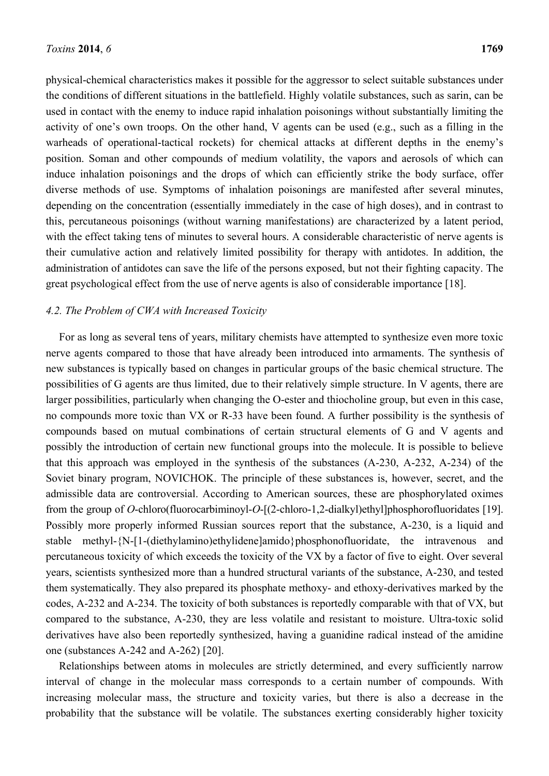physical-chemical characteristics makes it possible for the aggressor to select suitable substances under the conditions of different situations in the battlefield. Highly volatile substances, such as sarin, can be used in contact with the enemy to induce rapid inhalation poisonings without substantially limiting the activity of one's own troops. On the other hand, V agents can be used (e.g., such as a filling in the warheads of operational-tactical rockets) for chemical attacks at different depths in the enemy's position. Soman and other compounds of medium volatility, the vapors and aerosols of which can induce inhalation poisonings and the drops of which can efficiently strike the body surface, offer diverse methods of use. Symptoms of inhalation poisonings are manifested after several minutes, depending on the concentration (essentially immediately in the case of high doses), and in contrast to this, percutaneous poisonings (without warning manifestations) are characterized by a latent period, with the effect taking tens of minutes to several hours. A considerable characteristic of nerve agents is their cumulative action and relatively limited possibility for therapy with antidotes. In addition, the administration of antidotes can save the life of the persons exposed, but not their fighting capacity. The great psychological effect from the use of nerve agents is also of considerable importance [18].

#### *4.2. The Problem of CWA with Increased Toxicity*

For as long as several tens of years, military chemists have attempted to synthesize even more toxic nerve agents compared to those that have already been introduced into armaments. The synthesis of new substances is typically based on changes in particular groups of the basic chemical structure. The possibilities of G agents are thus limited, due to their relatively simple structure. In V agents, there are larger possibilities, particularly when changing the O-ester and thiocholine group, but even in this case, no compounds more toxic than VX or R-33 have been found. A further possibility is the synthesis of compounds based on mutual combinations of certain structural elements of G and V agents and possibly the introduction of certain new functional groups into the molecule. It is possible to believe that this approach was employed in the synthesis of the substances (A-230, A-232, A-234) of the Soviet binary program, NOVICHOK. The principle of these substances is, however, secret, and the admissible data are controversial. According to American sources, these are phosphorylated oximes from the group of *O*-chloro(fluorocarbiminoyl-*O*-[(2-chloro-1,2-dialkyl)ethyl]phosphorofluoridates [19]. Possibly more properly informed Russian sources report that the substance, A-230, is a liquid and stable methyl-{N-[1-(diethylamino)ethylidene]amido}phosphonofluoridate, the intravenous and percutaneous toxicity of which exceeds the toxicity of the VX by a factor of five to eight. Over several years, scientists synthesized more than a hundred structural variants of the substance, A-230, and tested them systematically. They also prepared its phosphate methoxy- and ethoxy-derivatives marked by the codes, A-232 and A-234. The toxicity of both substances is reportedly comparable with that of VX, but compared to the substance, A-230, they are less volatile and resistant to moisture. Ultra-toxic solid derivatives have also been reportedly synthesized, having a guanidine radical instead of the amidine one (substances A-242 and A-262) [20].

Relationships between atoms in molecules are strictly determined, and every sufficiently narrow interval of change in the molecular mass corresponds to a certain number of compounds. With increasing molecular mass, the structure and toxicity varies, but there is also a decrease in the probability that the substance will be volatile. The substances exerting considerably higher toxicity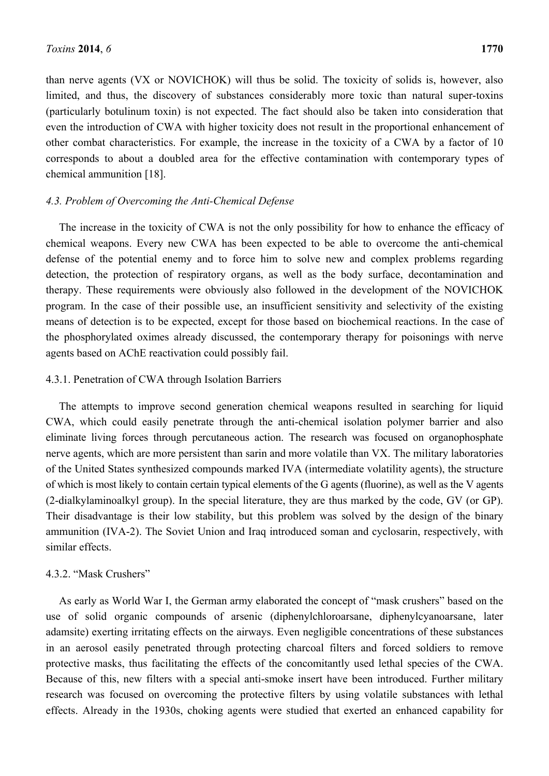than nerve agents (VX or NOVICHOK) will thus be solid. The toxicity of solids is, however, also limited, and thus, the discovery of substances considerably more toxic than natural super-toxins (particularly botulinum toxin) is not expected. The fact should also be taken into consideration that even the introduction of CWA with higher toxicity does not result in the proportional enhancement of other combat characteristics. For example, the increase in the toxicity of a CWA by a factor of 10 corresponds to about a doubled area for the effective contamination with contemporary types of chemical ammunition [18].

## *4.3. Problem of Overcoming the Anti-Chemical Defense*

The increase in the toxicity of CWA is not the only possibility for how to enhance the efficacy of chemical weapons. Every new CWA has been expected to be able to overcome the anti-chemical defense of the potential enemy and to force him to solve new and complex problems regarding detection, the protection of respiratory organs, as well as the body surface, decontamination and therapy. These requirements were obviously also followed in the development of the NOVICHOK program. In the case of their possible use, an insufficient sensitivity and selectivity of the existing means of detection is to be expected, except for those based on biochemical reactions. In the case of the phosphorylated oximes already discussed, the contemporary therapy for poisonings with nerve agents based on AChE reactivation could possibly fail.

#### 4.3.1. Penetration of CWA through Isolation Barriers

The attempts to improve second generation chemical weapons resulted in searching for liquid CWA, which could easily penetrate through the anti-chemical isolation polymer barrier and also eliminate living forces through percutaneous action. The research was focused on organophosphate nerve agents, which are more persistent than sarin and more volatile than VX. The military laboratories of the United States synthesized compounds marked IVA (intermediate volatility agents), the structure of which is most likely to contain certain typical elements of the G agents (fluorine), as well as the V agents (2-dialkylaminoalkyl group). In the special literature, they are thus marked by the code, GV (or GP). Their disadvantage is their low stability, but this problem was solved by the design of the binary ammunition (IVA-2). The Soviet Union and Iraq introduced soman and cyclosarin, respectively, with similar effects.

## 4.3.2. "Mask Crushers"

As early as World War I, the German army elaborated the concept of "mask crushers" based on the use of solid organic compounds of arsenic (diphenylchloroarsane, diphenylcyanoarsane, later adamsite) exerting irritating effects on the airways. Even negligible concentrations of these substances in an aerosol easily penetrated through protecting charcoal filters and forced soldiers to remove protective masks, thus facilitating the effects of the concomitantly used lethal species of the CWA. Because of this, new filters with a special anti-smoke insert have been introduced. Further military research was focused on overcoming the protective filters by using volatile substances with lethal effects. Already in the 1930s, choking agents were studied that exerted an enhanced capability for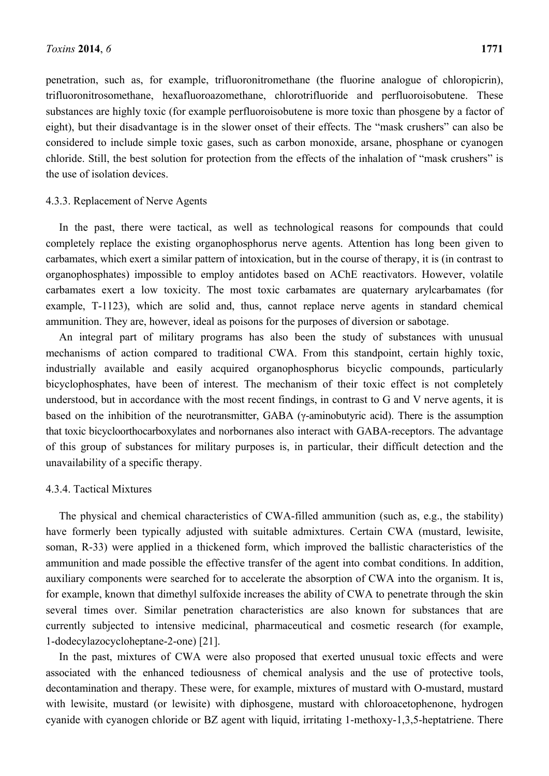penetration, such as, for example, trifluoronitromethane (the fluorine analogue of chloropicrin), trifluoronitrosomethane, hexafluoroazomethane, chlorotrifluoride and perfluoroisobutene. These substances are highly toxic (for example perfluoroisobutene is more toxic than phosgene by a factor of eight), but their disadvantage is in the slower onset of their effects. The "mask crushers" can also be considered to include simple toxic gases, such as carbon monoxide, arsane, phosphane or cyanogen chloride. Still, the best solution for protection from the effects of the inhalation of "mask crushers" is the use of isolation devices.

#### 4.3.3. Replacement of Nerve Agents

In the past, there were tactical, as well as technological reasons for compounds that could completely replace the existing organophosphorus nerve agents. Attention has long been given to carbamates, which exert a similar pattern of intoxication, but in the course of therapy, it is (in contrast to organophosphates) impossible to employ antidotes based on AChE reactivators. However, volatile carbamates exert a low toxicity. The most toxic carbamates are quaternary arylcarbamates (for example, T-1123), which are solid and, thus, cannot replace nerve agents in standard chemical ammunition. They are, however, ideal as poisons for the purposes of diversion or sabotage.

An integral part of military programs has also been the study of substances with unusual mechanisms of action compared to traditional CWA. From this standpoint, certain highly toxic, industrially available and easily acquired organophosphorus bicyclic compounds, particularly bicyclophosphates, have been of interest. The mechanism of their toxic effect is not completely understood, but in accordance with the most recent findings, in contrast to G and V nerve agents, it is based on the inhibition of the neurotransmitter, GABA (γ-aminobutyric acid). There is the assumption that toxic bicycloorthocarboxylates and norbornanes also interact with GABA-receptors. The advantage of this group of substances for military purposes is, in particular, their difficult detection and the unavailability of a specific therapy.

#### 4.3.4. Tactical Mixtures

The physical and chemical characteristics of CWA-filled ammunition (such as, e.g., the stability) have formerly been typically adjusted with suitable admixtures. Certain CWA (mustard, lewisite, soman, R-33) were applied in a thickened form, which improved the ballistic characteristics of the ammunition and made possible the effective transfer of the agent into combat conditions. In addition, auxiliary components were searched for to accelerate the absorption of CWA into the organism. It is, for example, known that dimethyl sulfoxide increases the ability of CWA to penetrate through the skin several times over. Similar penetration characteristics are also known for substances that are currently subjected to intensive medicinal, pharmaceutical and cosmetic research (for example, 1-dodecylazocycloheptane-2-one) [21].

In the past, mixtures of CWA were also proposed that exerted unusual toxic effects and were associated with the enhanced tediousness of chemical analysis and the use of protective tools, decontamination and therapy. These were, for example, mixtures of mustard with O-mustard, mustard with lewisite, mustard (or lewisite) with diphosgene, mustard with chloroacetophenone, hydrogen cyanide with cyanogen chloride or BZ agent with liquid, irritating 1-methoxy-1,3,5-heptatriene. There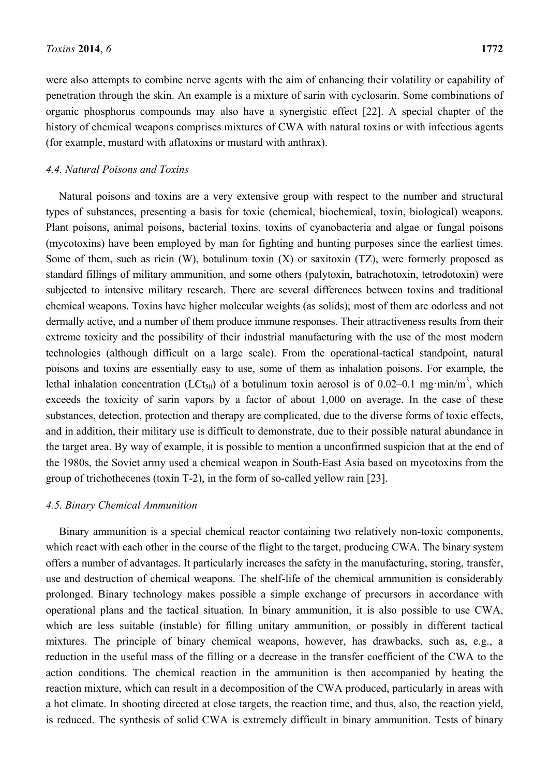were also attempts to combine nerve agents with the aim of enhancing their volatility or capability of penetration through the skin. An example is a mixture of sarin with cyclosarin. Some combinations of organic phosphorus compounds may also have a synergistic effect [22]. A special chapter of the history of chemical weapons comprises mixtures of CWA with natural toxins or with infectious agents (for example, mustard with aflatoxins or mustard with anthrax).

## *4.4. Natural Poisons and Toxins*

Natural poisons and toxins are a very extensive group with respect to the number and structural types of substances, presenting a basis for toxic (chemical, biochemical, toxin, biological) weapons. Plant poisons, animal poisons, bacterial toxins, toxins of cyanobacteria and algae or fungal poisons (mycotoxins) have been employed by man for fighting and hunting purposes since the earliest times. Some of them, such as ricin  $(W)$ , botulinum toxin  $(X)$  or saxitoxin  $(TZ)$ , were formerly proposed as standard fillings of military ammunition, and some others (palytoxin, batrachotoxin, tetrodotoxin) were subjected to intensive military research. There are several differences between toxins and traditional chemical weapons. Toxins have higher molecular weights (as solids); most of them are odorless and not dermally active, and a number of them produce immune responses. Their attractiveness results from their extreme toxicity and the possibility of their industrial manufacturing with the use of the most modern technologies (although difficult on a large scale). From the operational-tactical standpoint, natural poisons and toxins are essentially easy to use, some of them as inhalation poisons. For example, the lethal inhalation concentration (LCt<sub>50</sub>) of a botulinum toxin aerosol is of 0.02–0.1 mg·min/m<sup>3</sup>, which exceeds the toxicity of sarin vapors by a factor of about 1,000 on average. In the case of these substances, detection, protection and therapy are complicated, due to the diverse forms of toxic effects, and in addition, their military use is difficult to demonstrate, due to their possible natural abundance in the target area. By way of example, it is possible to mention a unconfirmed suspicion that at the end of the 1980s, the Soviet army used a chemical weapon in South-East Asia based on mycotoxins from the group of trichothecenes (toxin T-2), in the form of so-called yellow rain [23].

### *4.5. Binary Chemical Ammunition*

Binary ammunition is a special chemical reactor containing two relatively non-toxic components, which react with each other in the course of the flight to the target, producing CWA. The binary system offers a number of advantages. It particularly increases the safety in the manufacturing, storing, transfer, use and destruction of chemical weapons. The shelf-life of the chemical ammunition is considerably prolonged. Binary technology makes possible a simple exchange of precursors in accordance with operational plans and the tactical situation. In binary ammunition, it is also possible to use CWA, which are less suitable (instable) for filling unitary ammunition, or possibly in different tactical mixtures. The principle of binary chemical weapons, however, has drawbacks, such as, e.g., a reduction in the useful mass of the filling or a decrease in the transfer coefficient of the CWA to the action conditions. The chemical reaction in the ammunition is then accompanied by heating the reaction mixture, which can result in a decomposition of the CWA produced, particularly in areas with a hot climate. In shooting directed at close targets, the reaction time, and thus, also, the reaction yield, is reduced. The synthesis of solid CWA is extremely difficult in binary ammunition. Tests of binary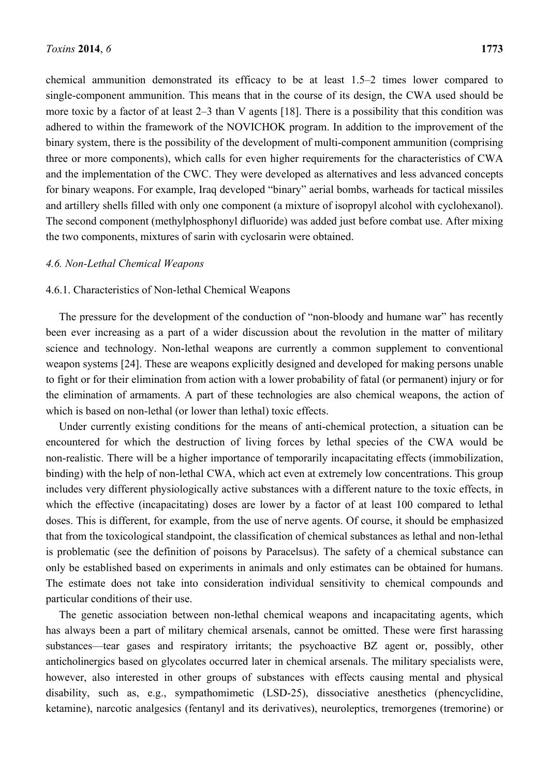chemical ammunition demonstrated its efficacy to be at least 1.5–2 times lower compared to single-component ammunition. This means that in the course of its design, the CWA used should be more toxic by a factor of at least 2–3 than V agents [18]. There is a possibility that this condition was adhered to within the framework of the NOVICHOK program. In addition to the improvement of the binary system, there is the possibility of the development of multi-component ammunition (comprising three or more components), which calls for even higher requirements for the characteristics of CWA and the implementation of the CWC. They were developed as alternatives and less advanced concepts for binary weapons. For example, Iraq developed "binary" aerial bombs, warheads for tactical missiles and artillery shells filled with only one component (a mixture of isopropyl alcohol with cyclohexanol). The second component (methylphosphonyl difluoride) was added just before combat use. After mixing the two components, mixtures of sarin with cyclosarin were obtained.

#### *4.6. Non-Lethal Chemical Weapons*

#### 4.6.1. Characteristics of Non-lethal Chemical Weapons

The pressure for the development of the conduction of "non-bloody and humane war" has recently been ever increasing as a part of a wider discussion about the revolution in the matter of military science and technology. Non-lethal weapons are currently a common supplement to conventional weapon systems [24]. These are weapons explicitly designed and developed for making persons unable to fight or for their elimination from action with a lower probability of fatal (or permanent) injury or for the elimination of armaments. A part of these technologies are also chemical weapons, the action of which is based on non-lethal (or lower than lethal) toxic effects.

Under currently existing conditions for the means of anti-chemical protection, a situation can be encountered for which the destruction of living forces by lethal species of the CWA would be non-realistic. There will be a higher importance of temporarily incapacitating effects (immobilization, binding) with the help of non-lethal CWA, which act even at extremely low concentrations. This group includes very different physiologically active substances with a different nature to the toxic effects, in which the effective (incapacitating) doses are lower by a factor of at least 100 compared to lethal doses. This is different, for example, from the use of nerve agents. Of course, it should be emphasized that from the toxicological standpoint, the classification of chemical substances as lethal and non-lethal is problematic (see the definition of poisons by Paracelsus). The safety of a chemical substance can only be established based on experiments in animals and only estimates can be obtained for humans. The estimate does not take into consideration individual sensitivity to chemical compounds and particular conditions of their use.

The genetic association between non-lethal chemical weapons and incapacitating agents, which has always been a part of military chemical arsenals, cannot be omitted. These were first harassing substances—tear gases and respiratory irritants; the psychoactive BZ agent or, possibly, other anticholinergics based on glycolates occurred later in chemical arsenals. The military specialists were, however, also interested in other groups of substances with effects causing mental and physical disability, such as, e.g., sympathomimetic (LSD-25), dissociative anesthetics (phencyclidine, ketamine), narcotic analgesics (fentanyl and its derivatives), neuroleptics, tremorgenes (tremorine) or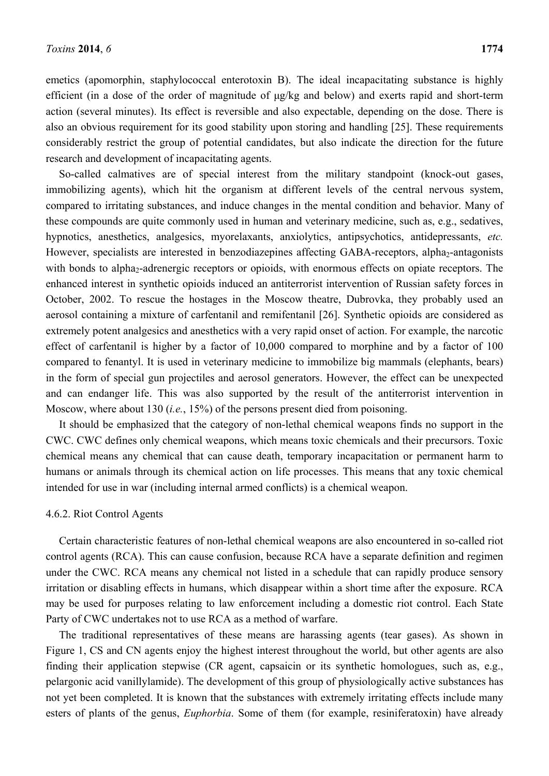emetics (apomorphin, staphylococcal enterotoxin B). The ideal incapacitating substance is highly efficient (in a dose of the order of magnitude of μg/kg and below) and exerts rapid and short-term action (several minutes). Its effect is reversible and also expectable, depending on the dose. There is also an obvious requirement for its good stability upon storing and handling [25]. These requirements considerably restrict the group of potential candidates, but also indicate the direction for the future research and development of incapacitating agents.

So-called calmatives are of special interest from the military standpoint (knock-out gases, immobilizing agents), which hit the organism at different levels of the central nervous system, compared to irritating substances, and induce changes in the mental condition and behavior. Many of these compounds are quite commonly used in human and veterinary medicine, such as, e.g., sedatives, hypnotics, anesthetics, analgesics, myorelaxants, anxiolytics, antipsychotics, antidepressants, *etc.* However, specialists are interested in benzodiazepines affecting GABA-receptors, alpha<sub>2</sub>-antagonists with bonds to alpha<sub>2</sub>-adrenergic receptors or opioids, with enormous effects on opiate receptors. The enhanced interest in synthetic opioids induced an antiterrorist intervention of Russian safety forces in October, 2002. To rescue the hostages in the Moscow theatre, Dubrovka, they probably used an aerosol containing a mixture of carfentanil and remifentanil [26]. Synthetic opioids are considered as extremely potent analgesics and anesthetics with a very rapid onset of action. For example, the narcotic effect of carfentanil is higher by a factor of 10,000 compared to morphine and by a factor of 100 compared to fenantyl. It is used in veterinary medicine to immobilize big mammals (elephants, bears) in the form of special gun projectiles and aerosol generators. However, the effect can be unexpected and can endanger life. This was also supported by the result of the antiterrorist intervention in Moscow, where about 130 (*i.e.*, 15%) of the persons present died from poisoning.

It should be emphasized that the category of non-lethal chemical weapons finds no support in the CWC. CWC defines only chemical weapons, which means toxic chemicals and their precursors. Toxic chemical means any chemical that can cause death, temporary incapacitation or permanent harm to humans or animals through its chemical action on life processes. This means that any toxic chemical intended for use in war (including internal armed conflicts) is a chemical weapon.

#### 4.6.2. Riot Control Agents

Certain characteristic features of non-lethal chemical weapons are also encountered in so-called riot control agents (RCA). This can cause confusion, because RCA have a separate definition and regimen under the CWC. RCA means any chemical not listed in a schedule that can rapidly produce sensory irritation or disabling effects in humans, which disappear within a short time after the exposure. RCA may be used for purposes relating to law enforcement including a domestic riot control. Each State Party of CWC undertakes not to use RCA as a method of warfare.

The traditional representatives of these means are harassing agents (tear gases). As shown in Figure 1, CS and CN agents enjoy the highest interest throughout the world, but other agents are also finding their application stepwise (CR agent, capsaicin or its synthetic homologues, such as, e.g., pelargonic acid vanillylamide). The development of this group of physiologically active substances has not yet been completed. It is known that the substances with extremely irritating effects include many esters of plants of the genus, *Euphorbia*. Some of them (for example, resiniferatoxin) have already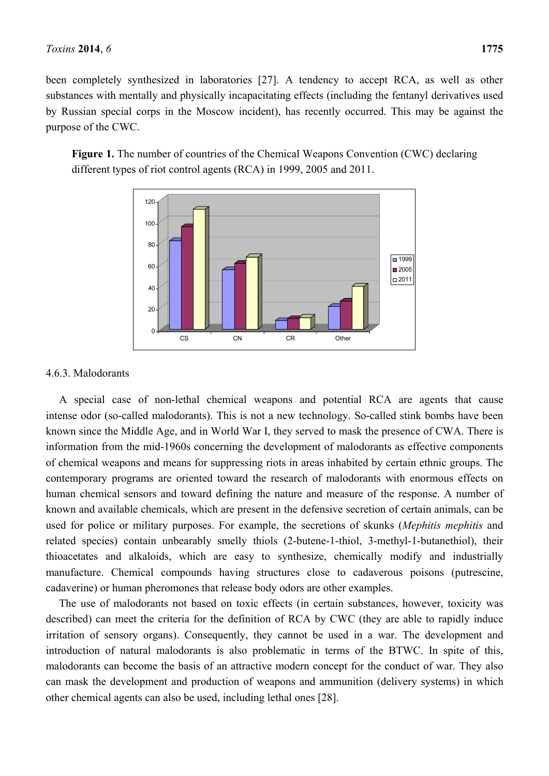been completely synthesized in laboratories [27]. A tendency to accept RCA, as well as other substances with mentally and physically incapacitating effects (including the fentanyl derivatives used by Russian special corps in the Moscow incident), has recently occurred. This may be against the purpose of the CWC.

**Figure 1.** The number of countries of the Chemical Weapons Convention (CWC) declaring different types of riot control agents (RCA) in 1999, 2005 and 2011.



#### 4.6.3. Malodorants

A special case of non-lethal chemical weapons and potential RCA are agents that cause intense odor (so-called malodorants). This is not a new technology. So-called stink bombs have been known since the Middle Age, and in World War I, they served to mask the presence of CWA. There is information from the mid-1960s concerning the development of malodorants as effective components of chemical weapons and means for suppressing riots in areas inhabited by certain ethnic groups. The contemporary programs are oriented toward the research of malodorants with enormous effects on human chemical sensors and toward defining the nature and measure of the response. A number of known and available chemicals, which are present in the defensive secretion of certain animals, can be used for police or military purposes. For example, the secretions of skunks (*Mephitis mephitis* and related species) contain unbearably smelly thiols (2-butene-1-thiol, 3-methyl-1-butanethiol), their thioacetates and alkaloids, which are easy to synthesize, chemically modify and industrially manufacture. Chemical compounds having structures close to cadaverous poisons (putrescine, cadaverine) or human pheromones that release body odors are other examples.

The use of malodorants not based on toxic effects (in certain substances, however, toxicity was described) can meet the criteria for the definition of RCA by CWC (they are able to rapidly induce irritation of sensory organs). Consequently, they cannot be used in a war. The development and introduction of natural malodorants is also problematic in terms of the BTWC. In spite of this, malodorants can become the basis of an attractive modern concept for the conduct of war. They also can mask the development and production of weapons and ammunition (delivery systems) in which other chemical agents can also be used, including lethal ones [28].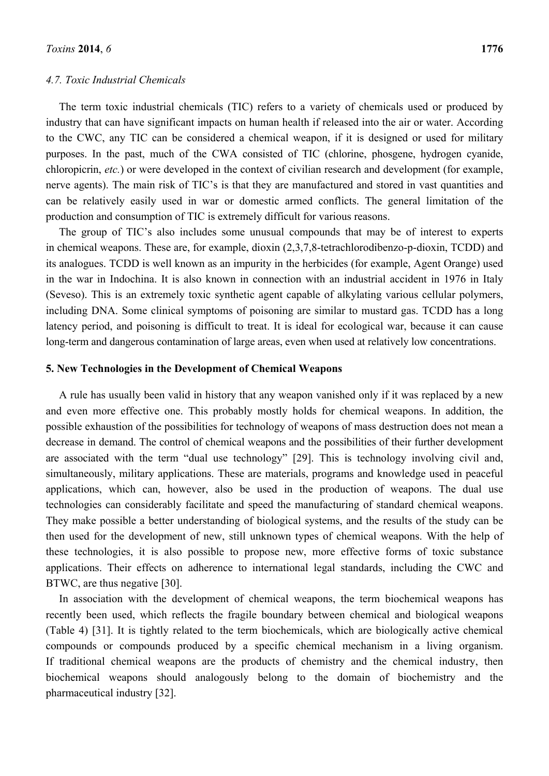#### *4.7. Toxic Industrial Chemicals*

The term toxic industrial chemicals (TIC) refers to a variety of chemicals used or produced by industry that can have significant impacts on human health if released into the air or water. According to the CWC, any TIC can be considered a chemical weapon, if it is designed or used for military purposes. In the past, much of the CWA consisted of TIC (chlorine, phosgene, hydrogen cyanide, chloropicrin, *etc.*) or were developed in the context of civilian research and development (for example, nerve agents). The main risk of TIC's is that they are manufactured and stored in vast quantities and can be relatively easily used in war or domestic armed conflicts. The general limitation of the production and consumption of TIC is extremely difficult for various reasons.

The group of TIC's also includes some unusual compounds that may be of interest to experts in chemical weapons. These are, for example, dioxin (2,3,7,8-tetrachlorodibenzo-p-dioxin, TCDD) and its analogues. TCDD is well known as an impurity in the herbicides (for example, Agent Orange) used in the war in Indochina. It is also known in connection with an industrial accident in 1976 in Italy (Seveso). This is an extremely toxic synthetic agent capable of alkylating various cellular polymers, including DNA. Some clinical symptoms of poisoning are similar to mustard gas. TCDD has a long latency period, and poisoning is difficult to treat. It is ideal for ecological war, because it can cause long-term and dangerous contamination of large areas, even when used at relatively low concentrations.

## **5. New Technologies in the Development of Chemical Weapons**

A rule has usually been valid in history that any weapon vanished only if it was replaced by a new and even more effective one. This probably mostly holds for chemical weapons. In addition, the possible exhaustion of the possibilities for technology of weapons of mass destruction does not mean a decrease in demand. The control of chemical weapons and the possibilities of their further development are associated with the term "dual use technology" [29]. This is technology involving civil and, simultaneously, military applications. These are materials, programs and knowledge used in peaceful applications, which can, however, also be used in the production of weapons. The dual use technologies can considerably facilitate and speed the manufacturing of standard chemical weapons. They make possible a better understanding of biological systems, and the results of the study can be then used for the development of new, still unknown types of chemical weapons. With the help of these technologies, it is also possible to propose new, more effective forms of toxic substance applications. Their effects on adherence to international legal standards, including the CWC and BTWC, are thus negative [30].

In association with the development of chemical weapons, the term biochemical weapons has recently been used, which reflects the fragile boundary between chemical and biological weapons (Table 4) [31]. It is tightly related to the term biochemicals, which are biologically active chemical compounds or compounds produced by a specific chemical mechanism in a living organism. If traditional chemical weapons are the products of chemistry and the chemical industry, then biochemical weapons should analogously belong to the domain of biochemistry and the pharmaceutical industry [32].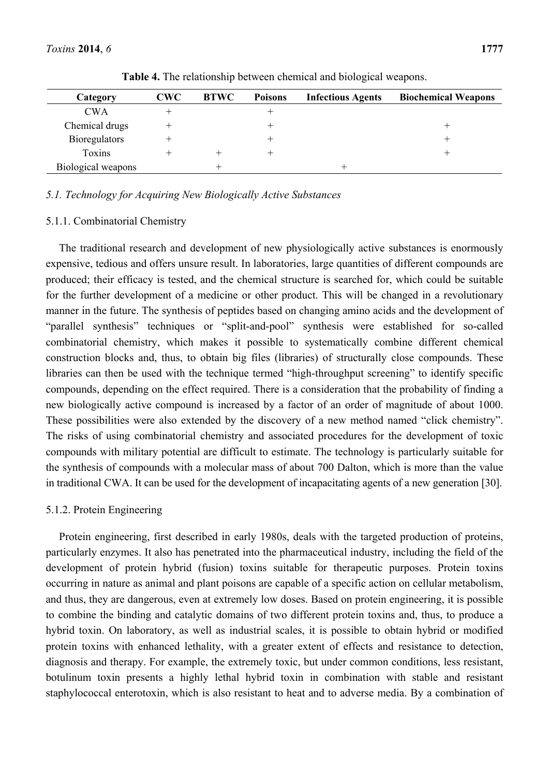| Category           | <b>CWC</b> | <b>BTWC</b> | <b>Poisons</b> | <b>Infectious Agents</b> | <b>Biochemical Weapons</b> |
|--------------------|------------|-------------|----------------|--------------------------|----------------------------|
| <b>CWA</b>         | +          |             |                |                          |                            |
| Chemical drugs     |            |             |                |                          |                            |
| Bioregulators      |            |             |                |                          |                            |
| Toxins             |            | ┿           |                |                          |                            |
| Biological weapons |            |             |                |                          |                            |

**Table 4.** The relationship between chemical and biological weapons.

#### *5.1. Technology for Acquiring New Biologically Active Substances*

#### 5.1.1. Combinatorial Chemistry

The traditional research and development of new physiologically active substances is enormously expensive, tedious and offers unsure result. In laboratories, large quantities of different compounds are produced; their efficacy is tested, and the chemical structure is searched for, which could be suitable for the further development of a medicine or other product. This will be changed in a revolutionary manner in the future. The synthesis of peptides based on changing amino acids and the development of "parallel synthesis" techniques or "split-and-pool" synthesis were established for so-called combinatorial chemistry, which makes it possible to systematically combine different chemical construction blocks and, thus, to obtain big files (libraries) of structurally close compounds. These libraries can then be used with the technique termed "high-throughput screening" to identify specific compounds, depending on the effect required. There is a consideration that the probability of finding a new biologically active compound is increased by a factor of an order of magnitude of about 1000. These possibilities were also extended by the discovery of a new method named "click chemistry". The risks of using combinatorial chemistry and associated procedures for the development of toxic compounds with military potential are difficult to estimate. The technology is particularly suitable for the synthesis of compounds with a molecular mass of about 700 Dalton, which is more than the value in traditional CWA. It can be used for the development of incapacitating agents of a new generation [30].

#### 5.1.2. Protein Engineering

Protein engineering, first described in early 1980s, deals with the targeted production of proteins, particularly enzymes. It also has penetrated into the pharmaceutical industry, including the field of the development of protein hybrid (fusion) toxins suitable for therapeutic purposes. Protein toxins occurring in nature as animal and plant poisons are capable of a specific action on cellular metabolism, and thus, they are dangerous, even at extremely low doses. Based on protein engineering, it is possible to combine the binding and catalytic domains of two different protein toxins and, thus, to produce a hybrid toxin. On laboratory, as well as industrial scales, it is possible to obtain hybrid or modified protein toxins with enhanced lethality, with a greater extent of effects and resistance to detection, diagnosis and therapy. For example, the extremely toxic, but under common conditions, less resistant, botulinum toxin presents a highly lethal hybrid toxin in combination with stable and resistant staphylococcal enterotoxin, which is also resistant to heat and to adverse media. By a combination of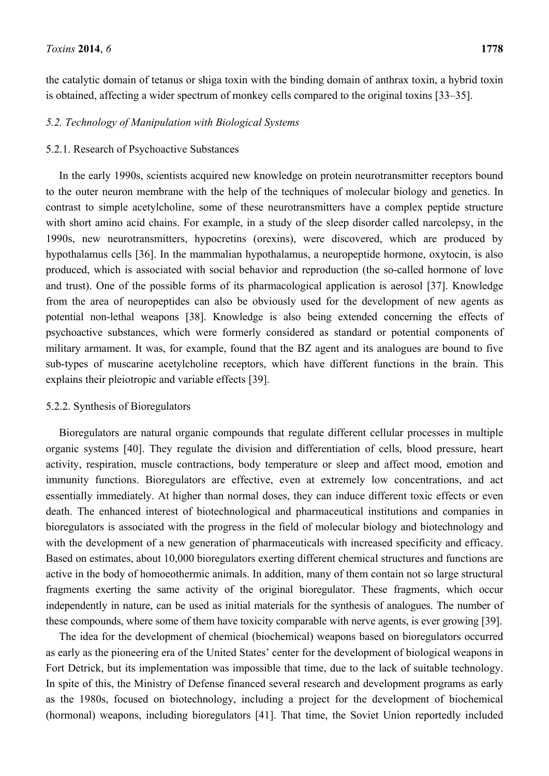the catalytic domain of tetanus or shiga toxin with the binding domain of anthrax toxin, a hybrid toxin is obtained, affecting a wider spectrum of monkey cells compared to the original toxins [33–35].

#### *5.2. Technology of Manipulation with Biological Systems*

#### 5.2.1. Research of Psychoactive Substances

In the early 1990s, scientists acquired new knowledge on protein neurotransmitter receptors bound to the outer neuron membrane with the help of the techniques of molecular biology and genetics. In contrast to simple acetylcholine, some of these neurotransmitters have a complex peptide structure with short amino acid chains. For example, in a study of the sleep disorder called narcolepsy, in the 1990s, new neurotransmitters, hypocretins (orexins), were discovered, which are produced by hypothalamus cells [36]. In the mammalian hypothalamus, a neuropeptide hormone, oxytocin, is also produced, which is associated with social behavior and reproduction (the so-called hormone of love and trust). One of the possible forms of its pharmacological application is aerosol [37]. Knowledge from the area of neuropeptides can also be obviously used for the development of new agents as potential non-lethal weapons [38]. Knowledge is also being extended concerning the effects of psychoactive substances, which were formerly considered as standard or potential components of military armament. It was, for example, found that the BZ agent and its analogues are bound to five sub-types of muscarine acetylcholine receptors, which have different functions in the brain. This explains their pleiotropic and variable effects [39].

#### 5.2.2. Synthesis of Bioregulators

Bioregulators are natural organic compounds that regulate different cellular processes in multiple organic systems [40]. They regulate the division and differentiation of cells, blood pressure, heart activity, respiration, muscle contractions, body temperature or sleep and affect mood, emotion and immunity functions. Bioregulators are effective, even at extremely low concentrations, and act essentially immediately. At higher than normal doses, they can induce different toxic effects or even death. The enhanced interest of biotechnological and pharmaceutical institutions and companies in bioregulators is associated with the progress in the field of molecular biology and biotechnology and with the development of a new generation of pharmaceuticals with increased specificity and efficacy. Based on estimates, about 10,000 bioregulators exerting different chemical structures and functions are active in the body of homoeothermic animals. In addition, many of them contain not so large structural fragments exerting the same activity of the original bioregulator. These fragments, which occur independently in nature, can be used as initial materials for the synthesis of analogues. The number of these compounds, where some of them have toxicity comparable with nerve agents, is ever growing [39].

The idea for the development of chemical (biochemical) weapons based on bioregulators occurred as early as the pioneering era of the United States' center for the development of biological weapons in Fort Detrick, but its implementation was impossible that time, due to the lack of suitable technology. In spite of this, the Ministry of Defense financed several research and development programs as early as the 1980s, focused on biotechnology, including a project for the development of biochemical (hormonal) weapons, including bioregulators [41]. That time, the Soviet Union reportedly included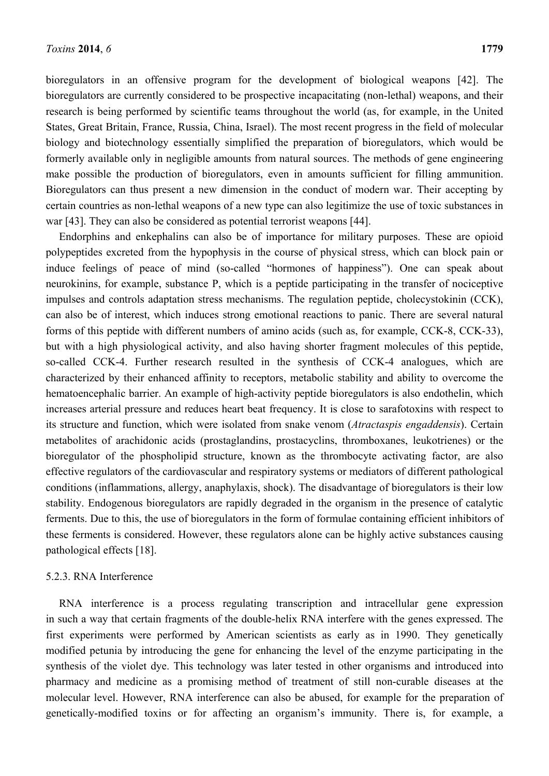bioregulators in an offensive program for the development of biological weapons [42]. The bioregulators are currently considered to be prospective incapacitating (non-lethal) weapons, and their research is being performed by scientific teams throughout the world (as, for example, in the United States, Great Britain, France, Russia, China, Israel). The most recent progress in the field of molecular biology and biotechnology essentially simplified the preparation of bioregulators, which would be formerly available only in negligible amounts from natural sources. The methods of gene engineering make possible the production of bioregulators, even in amounts sufficient for filling ammunition. Bioregulators can thus present a new dimension in the conduct of modern war. Their accepting by certain countries as non-lethal weapons of a new type can also legitimize the use of toxic substances in war [43]. They can also be considered as potential terrorist weapons [44].

Endorphins and enkephalins can also be of importance for military purposes. These are opioid polypeptides excreted from the hypophysis in the course of physical stress, which can block pain or induce feelings of peace of mind (so-called "hormones of happiness"). One can speak about neurokinins, for example, substance P, which is a peptide participating in the transfer of nociceptive impulses and controls adaptation stress mechanisms. The regulation peptide, cholecystokinin (CCK), can also be of interest, which induces strong emotional reactions to panic. There are several natural forms of this peptide with different numbers of amino acids (such as, for example, CCK-8, CCK-33), but with a high physiological activity, and also having shorter fragment molecules of this peptide, so-called CCK-4. Further research resulted in the synthesis of CCK-4 analogues, which are characterized by their enhanced affinity to receptors, metabolic stability and ability to overcome the hematoencephalic barrier. An example of high-activity peptide bioregulators is also endothelin, which increases arterial pressure and reduces heart beat frequency. It is close to sarafotoxins with respect to its structure and function, which were isolated from snake venom (*Atractaspis engaddensis*). Certain metabolites of arachidonic acids (prostaglandins, prostacyclins, thromboxanes, leukotrienes) or the bioregulator of the phospholipid structure, known as the thrombocyte activating factor, are also effective regulators of the cardiovascular and respiratory systems or mediators of different pathological conditions (inflammations, allergy, anaphylaxis, shock). The disadvantage of bioregulators is their low stability. Endogenous bioregulators are rapidly degraded in the organism in the presence of catalytic ferments. Due to this, the use of bioregulators in the form of formulae containing efficient inhibitors of these ferments is considered. However, these regulators alone can be highly active substances causing pathological effects [18].

#### 5.2.3. RNA Interference

RNA interference is a process regulating transcription and intracellular gene expression in such a way that certain fragments of the double-helix RNA interfere with the genes expressed. The first experiments were performed by American scientists as early as in 1990. They genetically modified petunia by introducing the gene for enhancing the level of the enzyme participating in the synthesis of the violet dye. This technology was later tested in other organisms and introduced into pharmacy and medicine as a promising method of treatment of still non-curable diseases at the molecular level. However, RNA interference can also be abused, for example for the preparation of genetically-modified toxins or for affecting an organism's immunity. There is, for example, a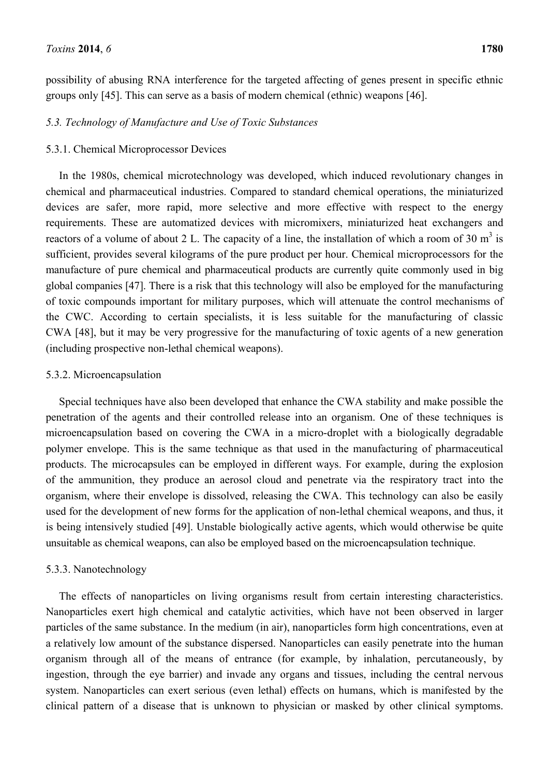possibility of abusing RNA interference for the targeted affecting of genes present in specific ethnic groups only [45]. This can serve as a basis of modern chemical (ethnic) weapons [46].

#### *5.3. Technology of Manufacture and Use of Toxic Substances*

#### 5.3.1. Chemical Microprocessor Devices

In the 1980s, chemical microtechnology was developed, which induced revolutionary changes in chemical and pharmaceutical industries. Compared to standard chemical operations, the miniaturized devices are safer, more rapid, more selective and more effective with respect to the energy requirements. These are automatized devices with micromixers, miniaturized heat exchangers and reactors of a volume of about 2 L. The capacity of a line, the installation of which a room of 30  $m<sup>3</sup>$  is sufficient, provides several kilograms of the pure product per hour. Chemical microprocessors for the manufacture of pure chemical and pharmaceutical products are currently quite commonly used in big global companies [47]. There is a risk that this technology will also be employed for the manufacturing of toxic compounds important for military purposes, which will attenuate the control mechanisms of the CWC. According to certain specialists, it is less suitable for the manufacturing of classic CWA [48], but it may be very progressive for the manufacturing of toxic agents of a new generation (including prospective non-lethal chemical weapons).

#### 5.3.2. Microencapsulation

Special techniques have also been developed that enhance the CWA stability and make possible the penetration of the agents and their controlled release into an organism. One of these techniques is microencapsulation based on covering the CWA in a micro-droplet with a biologically degradable polymer envelope. This is the same technique as that used in the manufacturing of pharmaceutical products. The microcapsules can be employed in different ways. For example, during the explosion of the ammunition, they produce an aerosol cloud and penetrate via the respiratory tract into the organism, where their envelope is dissolved, releasing the CWA. This technology can also be easily used for the development of new forms for the application of non-lethal chemical weapons, and thus, it is being intensively studied [49]. Unstable biologically active agents, which would otherwise be quite unsuitable as chemical weapons, can also be employed based on the microencapsulation technique.

#### 5.3.3. Nanotechnology

The effects of nanoparticles on living organisms result from certain interesting characteristics. Nanoparticles exert high chemical and catalytic activities, which have not been observed in larger particles of the same substance. In the medium (in air), nanoparticles form high concentrations, even at a relatively low amount of the substance dispersed. Nanoparticles can easily penetrate into the human organism through all of the means of entrance (for example, by inhalation, percutaneously, by ingestion, through the eye barrier) and invade any organs and tissues, including the central nervous system. Nanoparticles can exert serious (even lethal) effects on humans, which is manifested by the clinical pattern of a disease that is unknown to physician or masked by other clinical symptoms.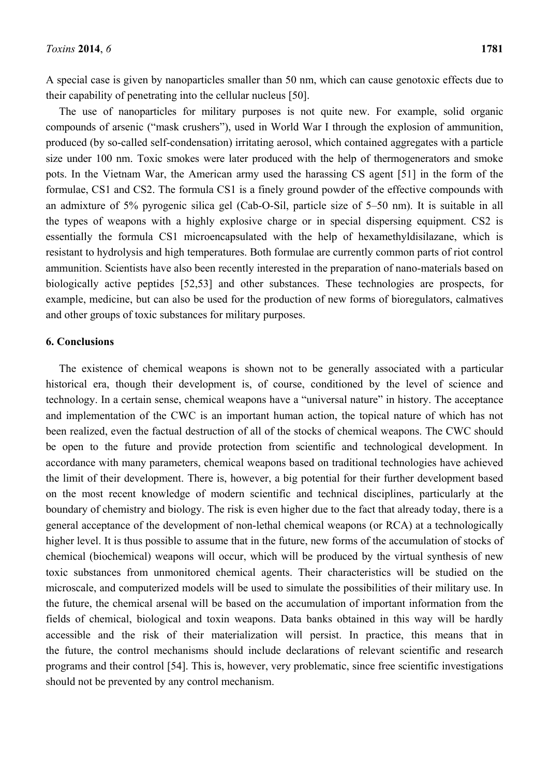A special case is given by nanoparticles smaller than 50 nm, which can cause genotoxic effects due to their capability of penetrating into the cellular nucleus [50].

The use of nanoparticles for military purposes is not quite new. For example, solid organic compounds of arsenic ("mask crushers"), used in World War I through the explosion of ammunition, produced (by so-called self-condensation) irritating aerosol, which contained aggregates with a particle size under 100 nm. Toxic smokes were later produced with the help of thermogenerators and smoke pots. In the Vietnam War, the American army used the harassing CS agent [51] in the form of the formulae, CS1 and CS2. The formula CS1 is a finely ground powder of the effective compounds with an admixture of 5% pyrogenic silica gel (Cab-O-Sil, particle size of 5–50 nm). It is suitable in all the types of weapons with a highly explosive charge or in special dispersing equipment. CS2 is essentially the formula CS1 microencapsulated with the help of hexamethyldisilazane, which is resistant to hydrolysis and high temperatures. Both formulae are currently common parts of riot control ammunition. Scientists have also been recently interested in the preparation of nano-materials based on biologically active peptides [52,53] and other substances. These technologies are prospects, for example, medicine, but can also be used for the production of new forms of bioregulators, calmatives and other groups of toxic substances for military purposes.

## **6. Conclusions**

The existence of chemical weapons is shown not to be generally associated with a particular historical era, though their development is, of course, conditioned by the level of science and technology. In a certain sense, chemical weapons have a "universal nature" in history. The acceptance and implementation of the CWC is an important human action, the topical nature of which has not been realized, even the factual destruction of all of the stocks of chemical weapons. The CWC should be open to the future and provide protection from scientific and technological development. In accordance with many parameters, chemical weapons based on traditional technologies have achieved the limit of their development. There is, however, a big potential for their further development based on the most recent knowledge of modern scientific and technical disciplines, particularly at the boundary of chemistry and biology. The risk is even higher due to the fact that already today, there is a general acceptance of the development of non-lethal chemical weapons (or RCA) at a technologically higher level. It is thus possible to assume that in the future, new forms of the accumulation of stocks of chemical (biochemical) weapons will occur, which will be produced by the virtual synthesis of new toxic substances from unmonitored chemical agents. Their characteristics will be studied on the microscale, and computerized models will be used to simulate the possibilities of their military use. In the future, the chemical arsenal will be based on the accumulation of important information from the fields of chemical, biological and toxin weapons. Data banks obtained in this way will be hardly accessible and the risk of their materialization will persist. In practice, this means that in the future, the control mechanisms should include declarations of relevant scientific and research programs and their control [54]. This is, however, very problematic, since free scientific investigations should not be prevented by any control mechanism.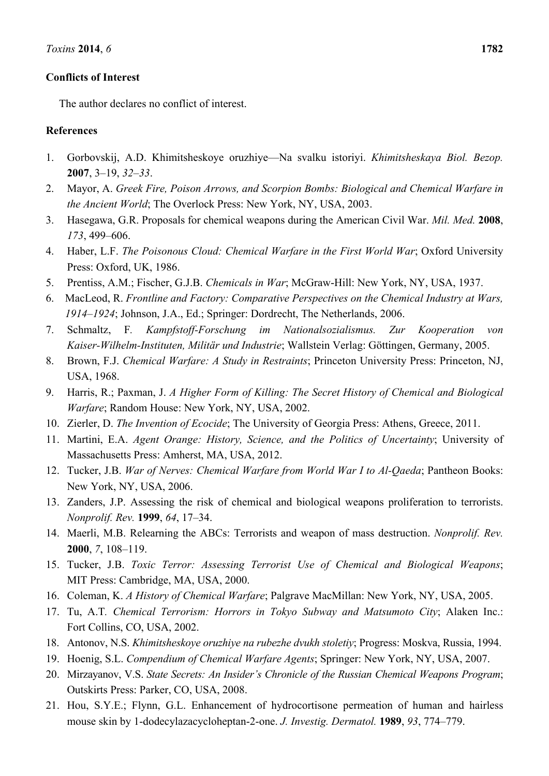## **Conflicts of Interest**

The author declares no conflict of interest.

## **References**

- 1. Gorbovskij, A.D. Khimitsheskoye oruzhiye—Na svalku istoriyi. *Khimitsheskaya Biol. Bezop.* **2007**, 3–19, *32*–*33*.
- 2. Mayor, A. *Greek Fire, Poison Arrows, and Scorpion Bombs: Biological and Chemical Warfare in the Ancient World*; The Overlock Press: New York, NY, USA, 2003.
- 3. Hasegawa, G.R. Proposals for chemical weapons during the American Civil War. *Mil. Med.* **2008**, *173*, 499–606.
- 4. Haber, L.F. *The Poisonous Cloud: Chemical Warfare in the First World War*; Oxford University Press: Oxford, UK, 1986.
- 5. Prentiss, A.M.; Fischer, G.J.B. *Chemicals in War*; McGraw-Hill: New York, NY, USA, 1937.
- 6. MacLeod, R. *Frontline and Factory: Comparative Perspectives on the Chemical Industry at Wars, 1914–1924*; Johnson, J.A., Ed.; Springer: Dordrecht, The Netherlands, 2006.
- 7. Schmaltz, F*. Kampfstoff-Forschung im Nationalsozialismus. Zur Kooperation von Kaiser-Wilhelm-Instituten, Militär und Industrie*; Wallstein Verlag: Göttingen, Germany, 2005.
- 8. Brown, F.J. *Chemical Warfare: A Study in Restraints*; Princeton University Press: Princeton, NJ, USA, 1968.
- 9. Harris, R.; Paxman, J. *A Higher Form of Killing: The Secret History of Chemical and Biological Warfare*; Random House: New York, NY, USA, 2002.
- 10. Zierler, D. *The Invention of Ecocide*; The University of Georgia Press: Athens, Greece, 2011.
- 11. Martini, E.A. *Agent Orange: History, Science, and the Politics of Uncertainty*; University of Massachusetts Press: Amherst, MA, USA, 2012.
- 12. Tucker, J.B. *War of Nerves: Chemical Warfare from World War I to Al-Qaeda*; Pantheon Books: New York, NY, USA, 2006.
- 13. Zanders, J.P. Assessing the risk of chemical and biological weapons proliferation to terrorists. *Nonprolif. Rev.* **1999**, *64*, 17–34.
- 14. Maerli, M.B. Relearning the ABCs: Terrorists and weapon of mass destruction. *Nonprolif. Rev.* **2000**, *7*, 108–119.
- 15. Tucker, J.B. *Toxic Terror: Assessing Terrorist Use of Chemical and Biological Weapons*; MIT Press: Cambridge, MA, USA, 2000.
- 16. Coleman, K. *A History of Chemical Warfare*; Palgrave MacMillan: New York, NY, USA, 2005.
- 17. Tu, A.T*. Chemical Terrorism: Horrors in Tokyo Subway and Matsumoto City*; Alaken Inc.: Fort Collins, CO, USA, 2002.
- 18. Antonov, N.S. *Khimitsheskoye oruzhiye na rubezhe dvukh stoletiy*; Progress: Moskva, Russia, 1994.
- 19. Hoenig, S.L. *Compendium of Chemical Warfare Agents*; Springer: New York, NY, USA, 2007.
- 20. Mirzayanov, V.S. *State Secrets: An Insider's Chronicle of the Russian Chemical Weapons Program*; Outskirts Press: Parker, CO, USA, 2008.
- 21. Hou, S.Y.E.; Flynn, G.L. Enhancement of hydrocortisone permeation of human and hairless mouse skin by 1-dodecylazacycloheptan-2-one. *J. Investig. Dermatol.* **1989**, *93*, 774–779.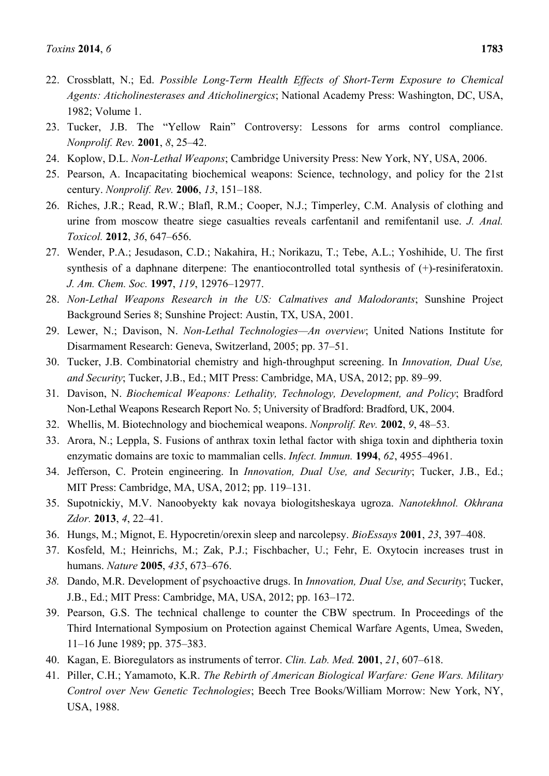- 22. Crossblatt, N.; Ed. *Possible Long-Term Health Effects of Short-Term Exposure to Chemical Agents: Aticholinesterases and Aticholinergics*; National Academy Press: Washington, DC, USA, 1982; Volume 1.
- 23. Tucker, J.B. The "Yellow Rain" Controversy: Lessons for arms control compliance. *Nonprolif. Rev.* **2001**, *8*, 25–42.
- 24. Koplow, D.L. *Non-Lethal Weapons*; Cambridge University Press: New York, NY, USA, 2006.
- 25. Pearson, A. Incapacitating biochemical weapons: Science, technology, and policy for the 21st century. *Nonprolif. Rev.* **2006**, *13*, 151–188.
- 26. Riches, J.R.; Read, R.W.; Blafl, R.M.; Cooper, N.J.; Timperley, C.M. Analysis of clothing and urine from moscow theatre siege casualties reveals carfentanil and remifentanil use. *J. Anal. Toxicol.* **2012**, *36*, 647–656.
- 27. Wender, P.A.; Jesudason, C.D.; Nakahira, H.; Norikazu, T.; Tebe, A.L.; Yoshihide, U. The first synthesis of a daphnane diterpene: The enantiocontrolled total synthesis of (+)-resiniferatoxin. *J. Am. Chem. Soc.* **1997**, *119*, 12976–12977.
- 28. *Non-Lethal Weapons Research in the US: Calmatives and Malodorants*; Sunshine Project Background Series 8; Sunshine Project: Austin, TX, USA, 2001.
- 29. Lewer, N.; Davison, N. *Non-Lethal Technologies—An overview*; United Nations Institute for Disarmament Research: Geneva, Switzerland, 2005; pp. 37–51.
- 30. Tucker, J.B. Combinatorial chemistry and high-throughput screening. In *Innovation, Dual Use, and Security*; Tucker, J.B., Ed.; MIT Press: Cambridge, MA, USA, 2012; pp. 89–99.
- 31. Davison, N. *Biochemical Weapons: Lethality, Technology, Development, and Policy*; Bradford Non-Lethal Weapons Research Report No. 5; University of Bradford: Bradford, UK, 2004.
- 32. Whellis, M. Biotechnology and biochemical weapons. *Nonprolif. Rev.* **2002**, *9*, 48–53.
- 33. Arora, N.; Leppla, S. Fusions of anthrax toxin lethal factor with shiga toxin and diphtheria toxin enzymatic domains are toxic to mammalian cells. *Infect. Immun.* **1994**, *62*, 4955–4961.
- 34. Jefferson, C. Protein engineering. In *Innovation, Dual Use, and Security*; Tucker, J.B., Ed.; MIT Press: Cambridge, MA, USA, 2012; pp. 119–131.
- 35. Supotnickiy, M.V. Nanoobyekty kak novaya biologitsheskaya ugroza. *Nanotekhnol. Okhrana Zdor.* **2013**, *4*, 22–41.
- 36. Hungs, M.; Mignot, E. Hypocretin/orexin sleep and narcolepsy. *BioEssays* **2001**, *23*, 397–408.
- 37. Kosfeld, M.; Heinrichs, M.; Zak, P.J.; Fischbacher, U.; Fehr, E. Oxytocin increases trust in humans. *Nature* **2005**, *435*, 673–676.
- *38.* Dando, M.R. Development of psychoactive drugs. In *Innovation, Dual Use, and Security*; Tucker, J.B., Ed.; MIT Press: Cambridge, MA, USA, 2012; pp. 163–172.
- 39. Pearson, G.S. The technical challenge to counter the CBW spectrum. In Proceedings of the Third International Symposium on Protection against Chemical Warfare Agents, Umea, Sweden, 11–16 June 1989; pp. 375–383.
- 40. Kagan, E. Bioregulators as instruments of terror. *Clin. Lab. Med.* **2001**, *21*, 607–618.
- 41. Piller, C.H.; Yamamoto, K.R. *The Rebirth of American Biological Warfare: Gene Wars. Military Control over New Genetic Technologies*; Beech Tree Books/William Morrow: New York, NY, USA, 1988.